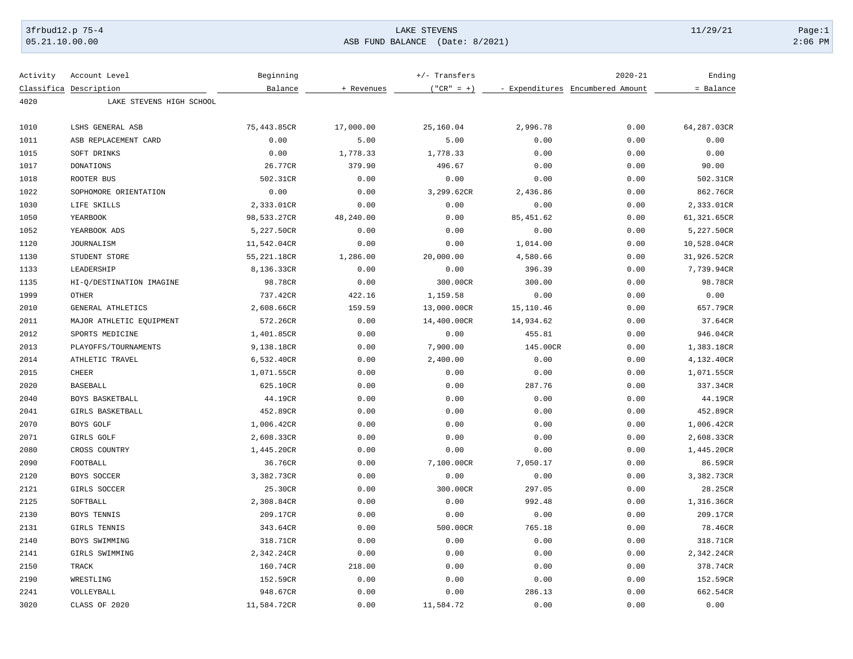## 3frbud12.p 75-4 LAKE STEVENS 11/29/21 Page:1 [05.21.10.00.00](https://05.21.10.00.00) ASB FUND BALANCE (Date: 8/2021) 2:06 PM

| Activity | Account Level            | Beginning   |            | +/- Transfers |            | $2020 - 21$                      | Ending      |
|----------|--------------------------|-------------|------------|---------------|------------|----------------------------------|-------------|
|          | Classifica Description   | Balance     | + Revenues | $("CR" = +)$  |            | - Expenditures Encumbered Amount | = Balance   |
| 4020     | LAKE STEVENS HIGH SCHOOL |             |            |               |            |                                  |             |
| 1010     | LSHS GENERAL ASB         | 75,443.85CR | 17,000.00  | 25,160.04     | 2,996.78   | 0.00                             | 64,287.03CR |
| 1011     | ASB REPLACEMENT CARD     | 0.00        | 5.00       | 5.00          | 0.00       | 0.00                             | 0.00        |
| 1015     | SOFT DRINKS              | 0.00        | 1,778.33   | 1,778.33      | 0.00       | 0.00                             | 0.00        |
| 1017     | DONATIONS                | 26.77CR     | 379.90     | 496.67        | 0.00       | 0.00                             | 90.00       |
| 1018     | ROOTER BUS               | 502.31CR    | 0.00       | 0.00          | 0.00       | 0.00                             | 502.31CR    |
| 1022     | SOPHOMORE ORIENTATION    | 0.00        | 0.00       | 3,299.62CR    | 2,436.86   | 0.00                             | 862.76CR    |
| 1030     | LIFE SKILLS              | 2,333.01CR  | 0.00       | 0.00          | 0.00       | 0.00                             | 2,333.01CR  |
| 1050     | YEARBOOK                 | 98,533.27CR | 48,240.00  | 0.00          | 85, 451.62 | 0.00                             | 61,321.65CR |
| 1052     | YEARBOOK ADS             | 5,227.50CR  | 0.00       | 0.00          | 0.00       | 0.00                             | 5,227.50CR  |
| 1120     | <b>JOURNALISM</b>        | 11,542.04CR | 0.00       | 0.00          | 1,014.00   | 0.00                             | 10,528.04CR |
| 1130     | STUDENT STORE            | 55,221.18CR | 1,286.00   | 20,000.00     | 4,580.66   | 0.00                             | 31,926.52CR |
| 1133     | LEADERSHIP               | 8,136.33CR  | 0.00       | 0.00          | 396.39     | 0.00                             | 7,739.94CR  |
| 1135     | HI-Q/DESTINATION IMAGINE | 98.78CR     | 0.00       | 300.00CR      | 300.00     | 0.00                             | 98.78CR     |
| 1999     | <b>OTHER</b>             | 737.42CR    | 422.16     | 1,159.58      | 0.00       | 0.00                             | 0.00        |
| 2010     | GENERAL ATHLETICS        | 2,608.66CR  | 159.59     | 13,000.00CR   | 15,110.46  | 0.00                             | 657.79CR    |
| 2011     | MAJOR ATHLETIC EQUIPMENT | 572.26CR    | 0.00       | 14,400.00CR   | 14,934.62  | 0.00                             | 37.64CR     |
| 2012     | SPORTS MEDICINE          | 1,401.85CR  | 0.00       | 0.00          | 455.81     | 0.00                             | 946.04CR    |
| 2013     | PLAYOFFS/TOURNAMENTS     | 9,138.18CR  | 0.00       | 7,900.00      | 145.00CR   | 0.00                             | 1,383.18CR  |
| 2014     | ATHLETIC TRAVEL          | 6,532.40CR  | 0.00       | 2,400.00      | 0.00       | 0.00                             | 4,132.40CR  |
| 2015     | <b>CHEER</b>             | 1,071.55CR  | 0.00       | 0.00          | 0.00       | 0.00                             | 1,071.55CR  |
| 2020     | <b>BASEBALL</b>          | 625.10CR    | 0.00       | 0.00          | 287.76     | 0.00                             | 337.34CR    |
| 2040     | BOYS BASKETBALL          | 44.19CR     | 0.00       | 0.00          | 0.00       | 0.00                             | 44.19CR     |
| 2041     | GIRLS BASKETBALL         | 452.89CR    | 0.00       | 0.00          | 0.00       | 0.00                             | 452.89CR    |
| 2070     | BOYS GOLF                | 1,006.42CR  | 0.00       | 0.00          | 0.00       | 0.00                             | 1,006.42CR  |
| 2071     | <b>GIRLS GOLF</b>        | 2,608.33CR  | 0.00       | 0.00          | 0.00       | 0.00                             | 2,608.33CR  |
| 2080     | CROSS COUNTRY            | 1,445.20CR  | 0.00       | 0.00          | 0.00       | 0.00                             | 1,445.20CR  |
| 2090     | FOOTBALL                 | 36.76CR     | 0.00       | 7,100.00CR    | 7,050.17   | 0.00                             | 86.59CR     |
| 2120     | BOYS SOCCER              | 3,382.73CR  | 0.00       | 0.00          | 0.00       | 0.00                             | 3,382.73CR  |
| 2121     | GIRLS SOCCER             | 25.30CR     | 0.00       | 300.00CR      | 297.05     | 0.00                             | 28.25CR     |
| 2125     | SOFTBALL                 | 2,308.84CR  | 0.00       | 0.00          | 992.48     | 0.00                             | 1,316.36CR  |
| 2130     | BOYS TENNIS              | 209.17CR    | 0.00       | 0.00          | 0.00       | 0.00                             | 209.17CR    |
| 2131     | GIRLS TENNIS             | 343.64CR    | 0.00       | 500.00CR      | 765.18     | 0.00                             | 78.46CR     |
| 2140     | BOYS SWIMMING            | 318.71CR    | 0.00       | 0.00          | 0.00       | 0.00                             | 318.71CR    |
| 2141     | GIRLS SWIMMING           | 2,342.24CR  | 0.00       | 0.00          | 0.00       | 0.00                             | 2,342.24CR  |
| 2150     | TRACK                    | 160.74CR    | 218.00     | 0.00          | 0.00       | 0.00                             | 378.74CR    |
| 2190     | WRESTLING                | 152.59CR    | 0.00       | 0.00          | 0.00       | 0.00                             | 152.59CR    |
| 2241     | VOLLEYBALL               | 948.67CR    | 0.00       | 0.00          | 286.13     | 0.00                             | 662.54CR    |
| 3020     | CLASS OF 2020            | 11,584.72CR | 0.00       | 11,584.72     | 0.00       | 0.00                             | 0.00        |
|          |                          |             |            |               |            |                                  |             |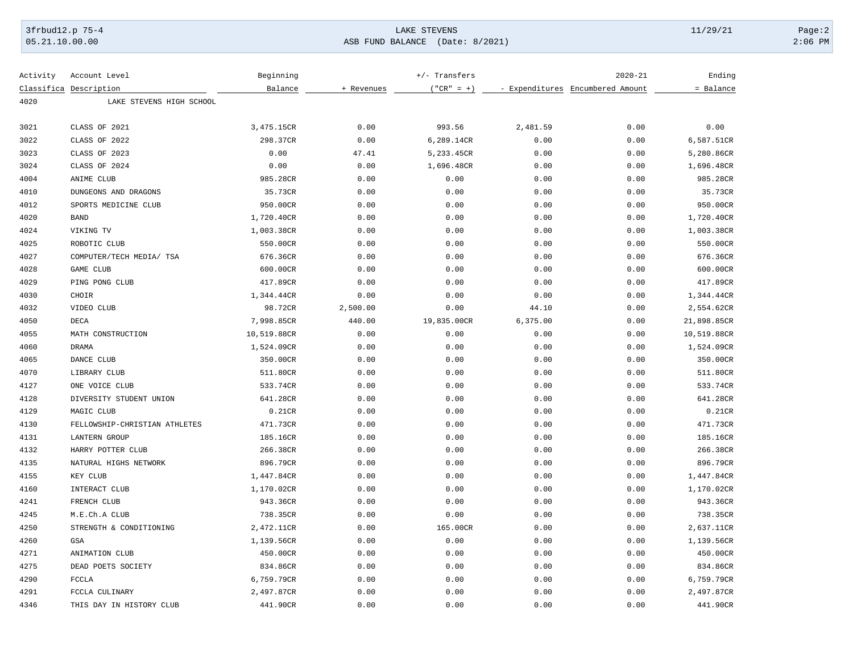## 3frbud12.p 75-4 Page:2 Page:2 Page:2 Page:2 Page:2 Page:2 Page:2 Page:2 Page:2 Page:2 Page:2 Page:2 Page:2 Page:2 Page:2 Page:2 Page:2 Page:2 Page:2 Page:2 Page:2 Page:2 Page:2 Page:2 Page:2 Page:2 Page:2 Page:2 Page:2 Pag [05.21.10.00.00](https://05.21.10.00.00) ASB FUND BALANCE (Date: 8/2021) 2:06 PM

| Activity | Account Level                 | Beginning   |            | $+/-$ Transfers |          | $2020 - 21$                      | Ending      |
|----------|-------------------------------|-------------|------------|-----------------|----------|----------------------------------|-------------|
|          | Classifica Description        | Balance     | + Revenues | $("CR" = +)$    |          | - Expenditures Encumbered Amount | = Balance   |
| 4020     | LAKE STEVENS HIGH SCHOOL      |             |            |                 |          |                                  |             |
| 3021     | CLASS OF 2021                 | 3,475.15CR  | 0.00       | 993.56          | 2,481.59 | 0.00                             | 0.00        |
| 3022     | CLASS OF 2022                 | 298.37CR    | 0.00       | 6,289.14CR      | 0.00     | 0.00                             | 6,587.51CR  |
| 3023     | CLASS OF 2023                 | 0.00        | 47.41      | 5,233.45CR      | 0.00     | 0.00                             | 5,280.86CR  |
| 3024     | CLASS OF 2024                 | 0.00        | 0.00       | 1,696.48CR      | 0.00     | 0.00                             | 1,696.48CR  |
| 4004     | ANIME CLUB                    | 985.28CR    | 0.00       | 0.00            | 0.00     | 0.00                             | 985.28CR    |
| 4010     | DUNGEONS AND DRAGONS          | 35.73CR     | 0.00       | 0.00            | 0.00     | 0.00                             | 35.73CR     |
| 4012     | SPORTS MEDICINE CLUB          | 950.00CR    | 0.00       | 0.00            | 0.00     | 0.00                             | 950.00CR    |
| 4020     | <b>BAND</b>                   | 1,720.40CR  | 0.00       | 0.00            | 0.00     | 0.00                             | 1,720.40CR  |
| 4024     | VIKING TV                     | 1,003.38CR  | 0.00       | 0.00            | 0.00     | 0.00                             | 1,003.38CR  |
| 4025     | ROBOTIC CLUB                  | 550.00CR    | 0.00       | 0.00            | 0.00     | 0.00                             | 550.00CR    |
| 4027     | COMPUTER/TECH MEDIA/ TSA      | 676.36CR    | 0.00       | 0.00            | 0.00     | 0.00                             | 676.36CR    |
| 4028     | GAME CLUB                     | 600.00CR    | 0.00       | 0.00            | 0.00     | 0.00                             | 600.00CR    |
| 4029     | PING PONG CLUB                | 417.89CR    | 0.00       | 0.00            | 0.00     | 0.00                             | 417.89CR    |
| 4030     | CHOIR                         | 1,344.44CR  | 0.00       | 0.00            | 0.00     | 0.00                             | 1,344.44CR  |
| 4032     | VIDEO CLUB                    | 98.72CR     | 2,500.00   | 0.00            | 44.10    | 0.00                             | 2,554.62CR  |
| 4050     | $\rm DECA$                    | 7,998.85CR  | 440.00     | 19,835.00CR     | 6,375.00 | 0.00                             | 21,898.85CR |
| 4055     | MATH CONSTRUCTION             | 10,519.88CR | 0.00       | 0.00            | 0.00     | 0.00                             | 10,519.88CR |
| 4060     | <b>DRAMA</b>                  | 1,524.09CR  | 0.00       | 0.00            | 0.00     | 0.00                             | 1,524.09CR  |
| 4065     | DANCE CLUB                    | 350.00CR    | 0.00       | 0.00            | 0.00     | 0.00                             | 350.00CR    |
| 4070     | LIBRARY CLUB                  | 511.80CR    | 0.00       | 0.00            | 0.00     | 0.00                             | 511.80CR    |
| 4127     | ONE VOICE CLUB                | 533.74CR    | 0.00       | 0.00            | 0.00     | 0.00                             | 533.74CR    |
| 4128     | DIVERSITY STUDENT UNION       | 641.28CR    | 0.00       | 0.00            | 0.00     | 0.00                             | 641.28CR    |
| 4129     | MAGIC CLUB                    | 0.21CR      | 0.00       | 0.00            | 0.00     | 0.00                             | 0.21CR      |
| 4130     | FELLOWSHIP-CHRISTIAN ATHLETES | 471.73CR    | 0.00       | 0.00            | 0.00     | 0.00                             | 471.73CR    |
| 4131     | <b>LANTERN GROUP</b>          | 185.16CR    | 0.00       | 0.00            | 0.00     | 0.00                             | 185.16CR    |
| 4132     | HARRY POTTER CLUB             | 266.38CR    | 0.00       | 0.00            | 0.00     | 0.00                             | 266.38CR    |
| 4135     | NATURAL HIGHS NETWORK         | 896.79CR    | 0.00       | 0.00            | 0.00     | 0.00                             | 896.79CR    |
| 4155     | KEY CLUB                      | 1,447.84CR  | 0.00       | 0.00            | 0.00     | 0.00                             | 1,447.84CR  |
| 4160     | INTERACT CLUB                 | 1,170.02CR  | 0.00       | 0.00            | 0.00     | 0.00                             | 1,170.02CR  |
| 4241     | FRENCH CLUB                   | 943.36CR    | 0.00       | 0.00            | 0.00     | 0.00                             | 943.36CR    |
| 4245     | M.E.Ch.A CLUB                 | 738.35CR    | 0.00       | 0.00            | 0.00     | 0.00                             | 738.35CR    |
| 4250     | STRENGTH & CONDITIONING       | 2,472.11CR  | 0.00       | 165.00CR        | 0.00     | 0.00                             | 2,637.11CR  |
| 4260     | GSA                           | 1,139.56CR  | 0.00       | 0.00            | 0.00     | 0.00                             | 1,139.56CR  |
| 4271     | ANIMATION CLUB                | 450.00CR    | 0.00       | 0.00            | 0.00     | 0.00                             | 450.00CR    |
| 4275     | DEAD POETS SOCIETY            | 834.86CR    | 0.00       | 0.00            | 0.00     | 0.00                             | 834.86CR    |
| 4290     | <b>FCCLA</b>                  | 6,759.79CR  | 0.00       | 0.00            | 0.00     | 0.00                             | 6,759.79CR  |
| 4291     | FCCLA CULINARY                | 2,497.87CR  | 0.00       | 0.00            | 0.00     | 0.00                             | 2,497.87CR  |
| 4346     | THIS DAY IN HISTORY CLUB      | 441.90CR    | 0.00       | 0.00            | 0.00     | 0.00                             | 441.90CR    |